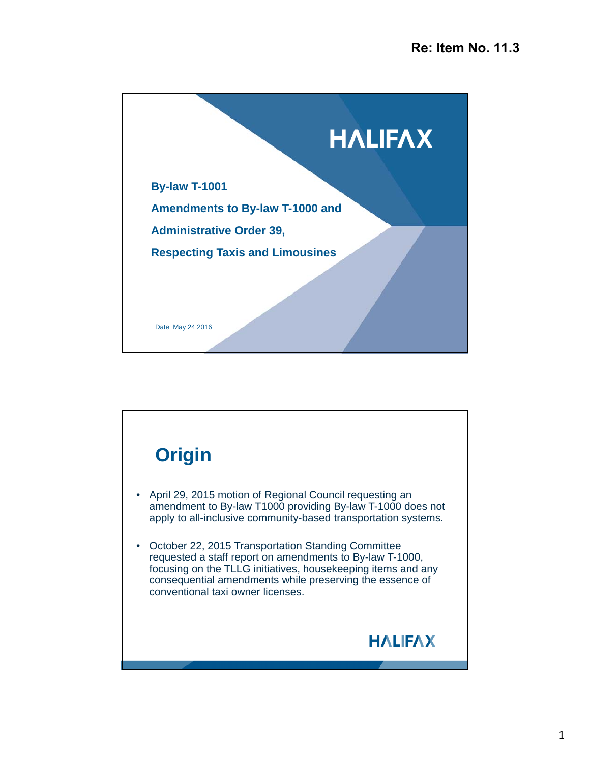

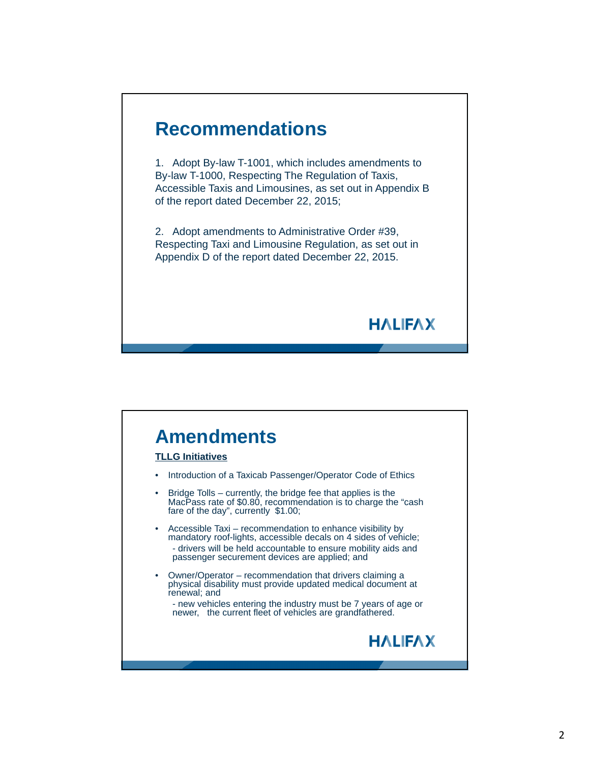

## **Amendments**

#### **TLLG Initiatives**

- Introduction of a Taxicab Passenger/Operator Code of Ethics
- Bridge Tolls currently, the bridge fee that applies is the MacPass rate of \$0.80, recommendation is to charge the "cash fare of the day", currently \$1.00;
- Accessible Taxi recommendation to enhance visibility by mandatory roof-lights, accessible decals on 4 sides of vehicle; - drivers will be held accountable to ensure mobility aids and passenger securement devices are applied; and
- Owner/Operator recommendation that drivers claiming a physical disability must provide updated medical document at renewal; and
	- new vehicles entering the industry must be 7 years of age or newer, the current fleet of vehicles are grandfathered.



**HALIFAX**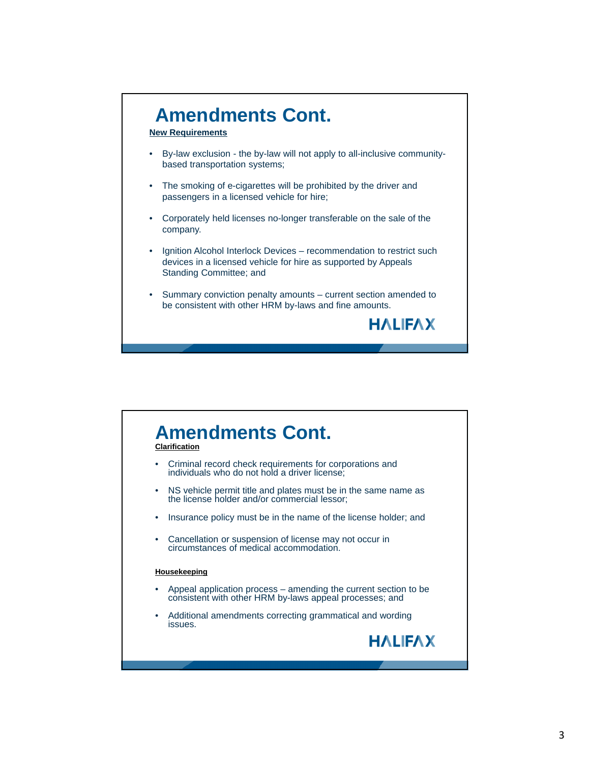